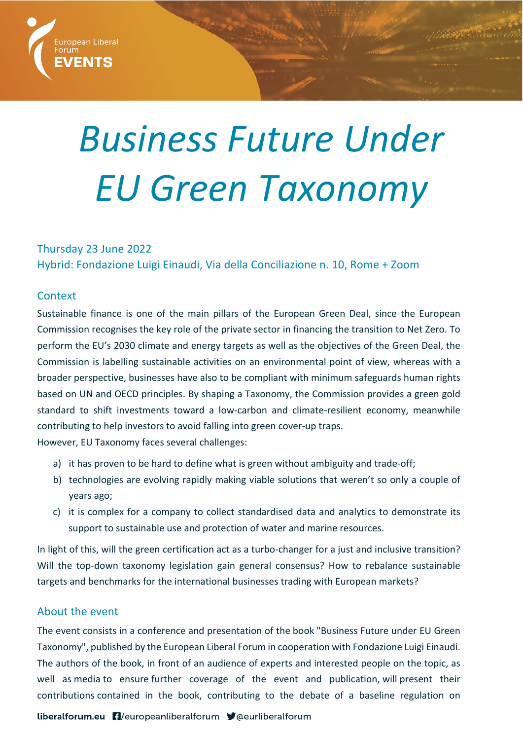

# *Business Future Under EU Green Taxonomy*

# Thursday 23 June 2022 Hybrid: Fondazione Luigi Einaudi, Via della Conciliazione n. 10, Rome + Zoom

### **Context**

Sustainable finance is one of the main pillars of the European Green Deal, since the European Commission recognises the key role of the private sector in financing the transition to Net Zero. To perform the EU's 2030 climate and energy targets as well as the objectives of the Green Deal, the Commission is labelling sustainable activities on an environmental point of view, whereas with a broader perspective, businesses have also to be compliant with minimum safeguards human rights based on UN and OECD principles. By shaping a Taxonomy, the Commission provides a green gold standard to shift investments toward a low-carbon and climate-resilient economy, meanwhile contributing to help investors to avoid falling into green cover-up traps.

However, EU Taxonomy faces several challenges:

- a) it has proven to be hard to define what is green without ambiguity and trade-off;
- b) technologies are evolving rapidly making viable solutions that weren't so only a couple of years ago;
- c) it is complex for a company to collect standardised data and analytics to demonstrate its support to sustainable use and protection of water and marine resources.

In light of this, will the green certification act as a turbo-changer for a just and inclusive transition? Will the top-down taxonomy legislation gain general consensus? How to rebalance sustainable targets and benchmarks for the international businesses trading with European markets?

# About the event

The event consists in a conference and presentation of the book "Business Future under EU Green Taxonomy", published by the European Liberal Forum in cooperation with Fondazione Luigi Einaudi. The authors of the book, in front of an audience of experts and interested people on the topic, as well as media to ensure further coverage of the event and publication, will present their contributions contained in the book, contributing to the debate of a baseline regulation on

liberalforum.eu [1]/europeanliberalforum Veeurliberalforum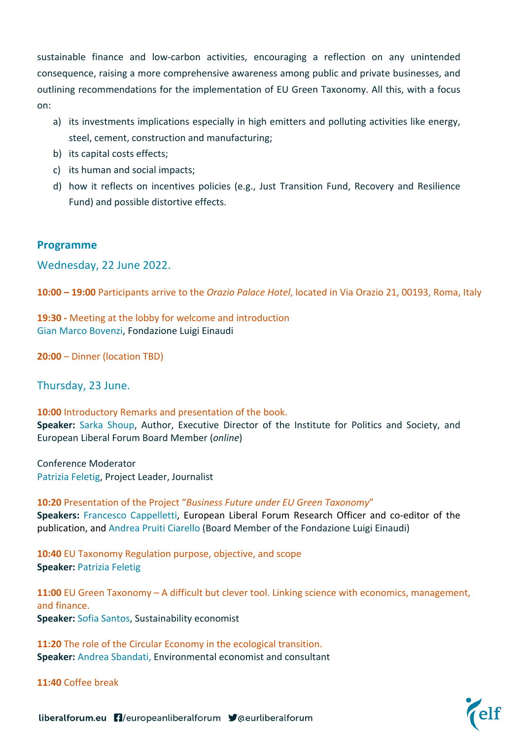sustainable finance and low-carbon activities, encouraging a reflection on any unintended consequence, raising a more comprehensive awareness among public and private businesses, and outlining recommendations for the implementation of EU Green Taxonomy. All this, with a focus on:

- a) its investments implications especially in high emitters and polluting activities like energy, steel, cement, construction and manufacturing;
- b) its capital costs effects;
- c) its human and social impacts;
- d) how it reflects on incentives policies (e.g., Just Transition Fund, Recovery and Resilience Fund) and possible distortive effects.

#### **Programme**

Wednesday, 22 June 2022.

**10:00 – 19:00** Participants arrive to the *Orazio Palace Hotel*, located in Via Orazio 21, 00193, Roma, Italy

**19:30 -** Meeting at the lobby for welcome and introduction Gian Marco Bovenzi, Fondazione Luigi Einaudi

**20:00** – Dinner (location TBD)

Thursday, 23 June.

**10:00** Introductory Remarks and presentation of the book. **Speaker:** Sarka Shoup, Author, Executive Director of the Institute for Politics and Society, and European Liberal Forum Board Member (*online*)

Conference Moderator Patrizia Feletig, Project Leader, Journalist

**10:20** Presentation of the Project "*Business Future under EU Green Taxonomy*" **Speakers:** Francesco Cappelletti, European Liberal Forum Research Officer and co-editor of the publication, and Andrea Pruiti Ciarello (Board Member of the Fondazione Luigi Einaudi)

**10:40** EU Taxonomy Regulation purpose, objective, and scope **Speaker:** Patrizia Feletig

**11:00** EU Green Taxonomy – A difficult but clever tool. Linking science with economics, management, and finance. **Speaker:** Sofia Santos, Sustainability economist

**11:20** The role of the Circular Economy in the ecological transition. **Speaker:** Andrea Sbandati, Environmental economist and consultant

**11:40** Coffee break